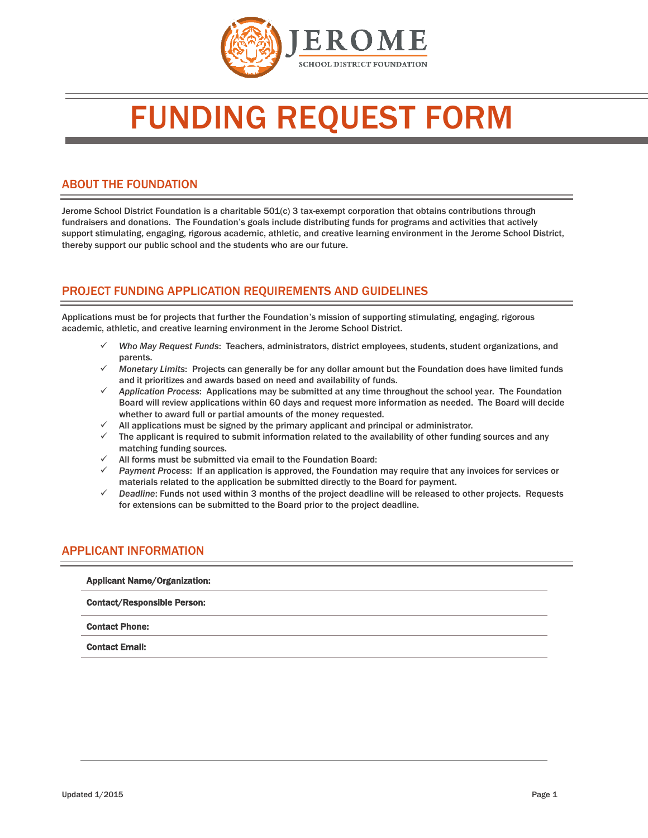

# FUNDING REQUEST FORM

#### ABOUT THE FOUNDATION

Jerome School District Foundation is a charitable 501(c) 3 tax-exempt corporation that obtains contributions through fundraisers and donations. The Foundation's goals include distributing funds for programs and activities that actively support stimulating, engaging, rigorous academic, athletic, and creative learning environment in the Jerome School District, thereby support our public school and the students who are our future.

### PROJECT FUNDING APPLICATION REQUIREMENTS AND GUIDELINES

Applications must be for projects that further the Foundation's mission of supporting stimulating, engaging, rigorous academic, athletic, and creative learning environment in the Jerome School District.

- *Who May Request Funds*: Teachers, administrators, district employees, students, student organizations, and parents.
- *Monetary Limits*: Projects can generally be for any dollar amount but the Foundation does have limited funds and it prioritizes and awards based on need and availability of funds.
- *Application Process*: Applications may be submitted at any time throughout the school year. The Foundation Board will review applications within 60 days and request more information as needed. The Board will decide whether to award full or partial amounts of the money requested.
- All applications must be signed by the primary applicant and principal or administrator.
- $\checkmark$  The applicant is required to submit information related to the availability of other funding sources and any matching funding sources.
- $\checkmark$  All forms must be submitted via email to the Foundation Board:
- *Payment Process*: If an application is approved, the Foundation may require that any invoices for services or materials related to the application be submitted directly to the Board for payment.
- *Deadline*: Funds not used within 3 months of the project deadline will be released to other projects. Requests for extensions can be submitted to the Board prior to the project deadline.

#### APPLICANT INFORMATION

| <b>Applicant Name/Organization:</b> |  |
|-------------------------------------|--|
| <b>Contact/Responsible Person:</b>  |  |
| <b>Contact Phone:</b>               |  |
| <b>Contact Email:</b>               |  |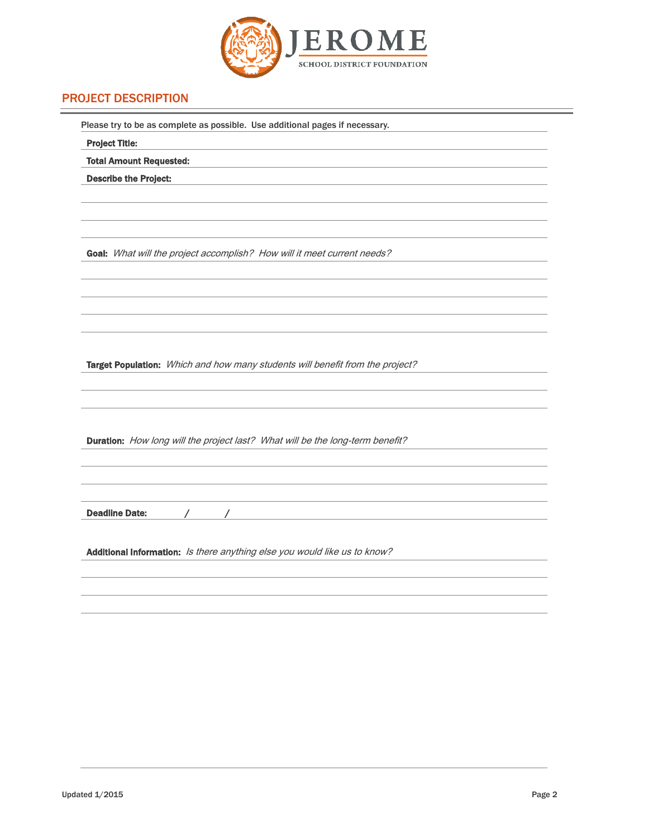

# PROJECT DESCRIPTION

| Please try to be as complete as possible. Use additional pages if necessary.                                                                                  |
|---------------------------------------------------------------------------------------------------------------------------------------------------------------|
| <b>Project Title:</b>                                                                                                                                         |
| <b>Total Amount Requested:</b>                                                                                                                                |
| <b>Describe the Project:</b>                                                                                                                                  |
|                                                                                                                                                               |
|                                                                                                                                                               |
|                                                                                                                                                               |
| Goal: What will the project accomplish? How will it meet current needs?                                                                                       |
|                                                                                                                                                               |
|                                                                                                                                                               |
|                                                                                                                                                               |
|                                                                                                                                                               |
|                                                                                                                                                               |
| Target Population: Which and how many students will benefit from the project?                                                                                 |
|                                                                                                                                                               |
|                                                                                                                                                               |
|                                                                                                                                                               |
|                                                                                                                                                               |
| Duration: How long will the project last? What will be the long-term benefit?                                                                                 |
|                                                                                                                                                               |
|                                                                                                                                                               |
|                                                                                                                                                               |
| <b>Deadline Date:</b><br>$\sqrt{2}$<br><u> 1989 - Johann Stoff, deutscher Stoffen und der Stoffen und der Stoffen und der Stoffen und der Stoffen und der</u> |
|                                                                                                                                                               |
| Additional Information: Is there anything else you would like us to know?                                                                                     |
|                                                                                                                                                               |
|                                                                                                                                                               |